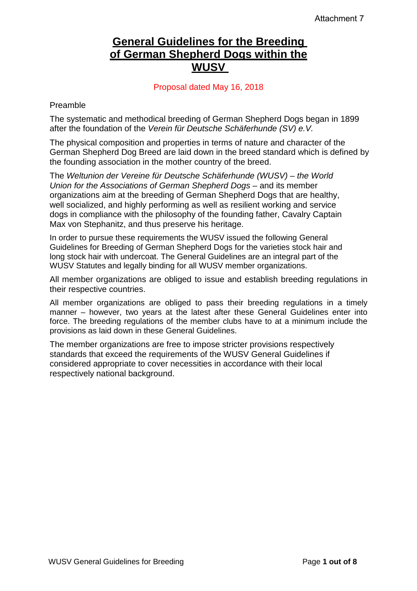# **General Guidelines for the Breeding of German Shepherd Dogs within the WUSV**

Proposal dated May 16, 2018

Preamble

The systematic and methodical breeding of German Shepherd Dogs began in 1899 after the foundation of the *Verein für Deutsche Schäferhunde (SV) e.V.*

The physical composition and properties in terms of nature and character of the German Shepherd Dog Breed are laid down in the breed standard which is defined by the founding association in the mother country of the breed.

The *Weltunion der Vereine für Deutsche Schäferhunde (WUSV) – the World Union for the Associations of German Shepherd Dogs* – and its member organizations aim at the breeding of German Shepherd Dogs that are healthy, well socialized, and highly performing as well as resilient working and service dogs in compliance with the philosophy of the founding father, Cavalry Captain Max von Stephanitz, and thus preserve his heritage.

In order to pursue these requirements the WUSV issued the following General Guidelines for Breeding of German Shepherd Dogs for the varieties stock hair and long stock hair with undercoat. The General Guidelines are an integral part of the WUSV Statutes and legally binding for all WUSV member organizations.

All member organizations are obliged to issue and establish breeding regulations in their respective countries.

All member organizations are obliged to pass their breeding regulations in a timely manner – however, two years at the latest after these General Guidelines enter into force. The breeding regulations of the member clubs have to at a minimum include the provisions as laid down in these General Guidelines.

The member organizations are free to impose stricter provisions respectively standards that exceed the requirements of the WUSV General Guidelines if considered appropriate to cover necessities in accordance with their local respectively national background.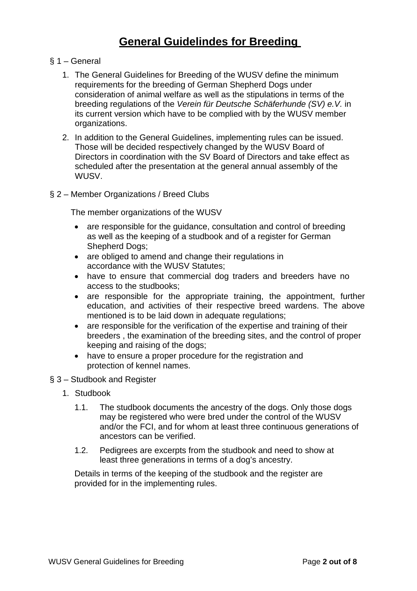# **General Guidelindes for Breeding**

- § 1 General
	- 1. The General Guidelines for Breeding of the WUSV define the minimum requirements for the breeding of German Shepherd Dogs under consideration of animal welfare as well as the stipulations in terms of the breeding regulations of the *Verein für Deutsche Schäferhunde (SV) e.V.* in its current version which have to be complied with by the WUSV member organizations.
	- 2. In addition to the General Guidelines, implementing rules can be issued. Those will be decided respectively changed by the WUSV Board of Directors in coordination with the SV Board of Directors and take effect as scheduled after the presentation at the general annual assembly of the WUSV.
- § 2 Member Organizations / Breed Clubs

The member organizations of the WUSV

- are responsible for the quidance, consultation and control of breeding as well as the keeping of a studbook and of a register for German Shepherd Dogs;
- are obliged to amend and change their regulations in accordance with the WUSV Statutes;
- have to ensure that commercial dog traders and breeders have no access to the studbooks;
- are responsible for the appropriate training, the appointment, further education, and activities of their respective breed wardens. The above mentioned is to be laid down in adequate regulations;
- are responsible for the verification of the expertise and training of their breeders , the examination of the breeding sites, and the control of proper keeping and raising of the dogs;
- have to ensure a proper procedure for the registration and protection of kennel names.
- § 3 Studbook and Register
	- 1. Studbook
		- 1.1. The studbook documents the ancestry of the dogs. Only those dogs may be registered who were bred under the control of the WUSV and/or the FCI, and for whom at least three continuous generations of ancestors can be verified.
		- 1.2. Pedigrees are excerpts from the studbook and need to show at least three generations in terms of a dog's ancestry.

Details in terms of the keeping of the studbook and the register are provided for in the implementing rules.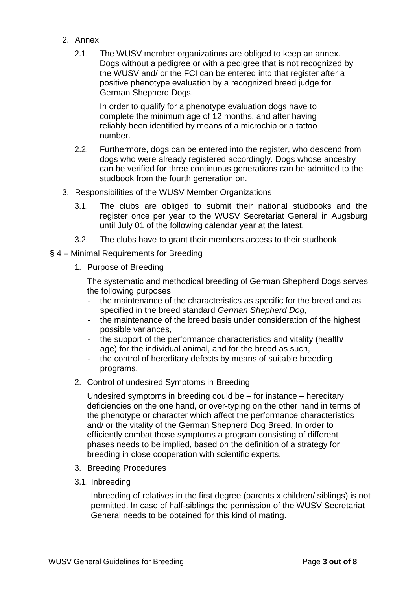- 2. Annex
	- 2.1. The WUSV member organizations are obliged to keep an annex. Dogs without a pedigree or with a pedigree that is not recognized by the WUSV and/ or the FCI can be entered into that register after a positive phenotype evaluation by a recognized breed judge for German Shepherd Dogs.

In order to qualify for a phenotype evaluation dogs have to complete the minimum age of 12 months, and after having reliably been identified by means of a microchip or a tattoo number.

- 2.2. Furthermore, dogs can be entered into the register, who descend from dogs who were already registered accordingly. Dogs whose ancestry can be verified for three continuous generations can be admitted to the studbook from the fourth generation on.
- 3. Responsibilities of the WUSV Member Organizations
	- 3.1. The clubs are obliged to submit their national studbooks and the register once per year to the WUSV Secretariat General in Augsburg until July 01 of the following calendar year at the latest.
	- 3.2. The clubs have to grant their members access to their studbook.
- § 4 Minimal Requirements for Breeding
	- 1. Purpose of Breeding

The systematic and methodical breeding of German Shepherd Dogs serves the following purposes

- the maintenance of the characteristics as specific for the breed and as specified in the breed standard *German Shepherd Dog*,
- the maintenance of the breed basis under consideration of the highest possible variances,
- the support of the performance characteristics and vitality (health/ age) for the individual animal, and for the breed as such,
- the control of hereditary defects by means of suitable breeding programs.
- 2. Control of undesired Symptoms in Breeding

Undesired symptoms in breeding could be – for instance – hereditary deficiencies on the one hand, or over-typing on the other hand in terms of the phenotype or character which affect the performance characteristics and/ or the vitality of the German Shepherd Dog Breed. In order to efficiently combat those symptoms a program consisting of different phases needs to be implied, based on the definition of a strategy for breeding in close cooperation with scientific experts.

- 3. Breeding Procedures
- 3.1. Inbreeding

Inbreeding of relatives in the first degree (parents x children/ siblings) is not permitted. In case of half-siblings the permission of the WUSV Secretariat General needs to be obtained for this kind of mating.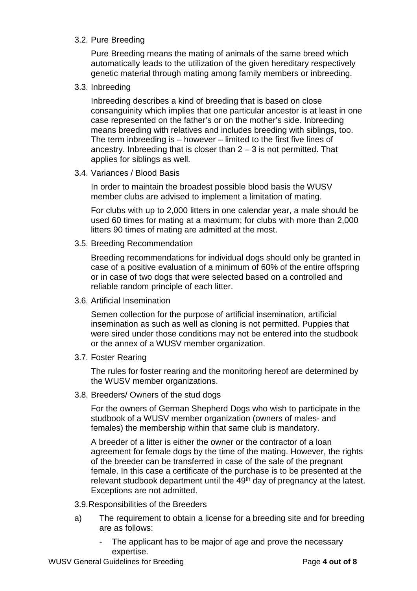# 3.2. Pure Breeding

Pure Breeding means the mating of animals of the same breed which automatically leads to the utilization of the given hereditary respectively genetic material through mating among family members or inbreeding.

# 3.3. Inbreeding

Inbreeding describes a kind of breeding that is based on close consanguinity which implies that one particular ancestor is at least in one case represented on the father's or on the mother's side. Inbreeding means breeding with relatives and includes breeding with siblings, too. The term inbreeding is – however – limited to the first five lines of ancestry. Inbreeding that is closer than  $2 - 3$  is not permitted. That applies for siblings as well.

#### 3.4. Variances / Blood Basis

In order to maintain the broadest possible blood basis the WUSV member clubs are advised to implement a limitation of mating.

For clubs with up to 2,000 litters in one calendar year, a male should be used 60 times for mating at a maximum; for clubs with more than 2,000 litters 90 times of mating are admitted at the most.

3.5. Breeding Recommendation

Breeding recommendations for individual dogs should only be granted in case of a positive evaluation of a minimum of 60% of the entire offspring or in case of two dogs that were selected based on a controlled and reliable random principle of each litter.

3.6. Artificial Insemination

Semen collection for the purpose of artificial insemination, artificial insemination as such as well as cloning is not permitted. Puppies that were sired under those conditions may not be entered into the studbook or the annex of a WUSV member organization.

3.7. Foster Rearing

The rules for foster rearing and the monitoring hereof are determined by the WUSV member organizations.

3.8. Breeders/ Owners of the stud dogs

For the owners of German Shepherd Dogs who wish to participate in the studbook of a WUSV member organization (owners of males- and females) the membership within that same club is mandatory.

A breeder of a litter is either the owner or the contractor of a loan agreement for female dogs by the time of the mating. However, the rights of the breeder can be transferred in case of the sale of the pregnant female. In this case a certificate of the purchase is to be presented at the relevant studbook department until the 49<sup>th</sup> day of pregnancy at the latest. Exceptions are not admitted.

- 3.9.Responsibilities of the Breeders
- a) The requirement to obtain a license for a breeding site and for breeding are as follows:
	- The applicant has to be major of age and prove the necessary expertise.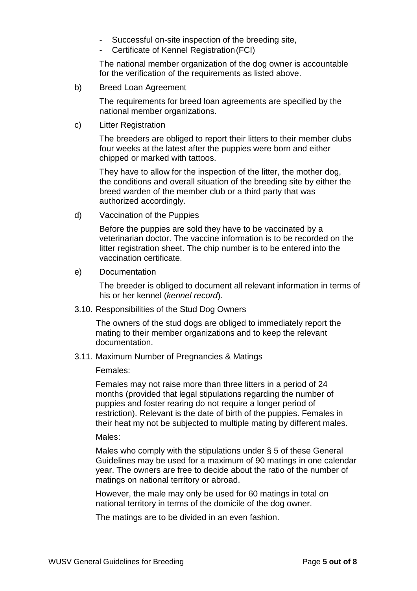- Successful on-site inspection of the breeding site,
- Certificate of Kennel Registration (FCI)

The national member organization of the dog owner is accountable for the verification of the requirements as listed above.

b) Breed Loan Agreement

The requirements for breed loan agreements are specified by the national member organizations.

c) Litter Registration

The breeders are obliged to report their litters to their member clubs four weeks at the latest after the puppies were born and either chipped or marked with tattoos.

They have to allow for the inspection of the litter, the mother dog, the conditions and overall situation of the breeding site by either the breed warden of the member club or a third party that was authorized accordingly.

d) Vaccination of the Puppies

Before the puppies are sold they have to be vaccinated by a veterinarian doctor. The vaccine information is to be recorded on the litter registration sheet. The chip number is to be entered into the vaccination certificate.

e) Documentation

The breeder is obliged to document all relevant information in terms of his or her kennel (*kennel record*).

3.10. Responsibilities of the Stud Dog Owners

The owners of the stud dogs are obliged to immediately report the mating to their member organizations and to keep the relevant documentation.

3.11. Maximum Number of Pregnancies & Matings

Females:

Females may not raise more than three litters in a period of 24 months (provided that legal stipulations regarding the number of puppies and foster rearing do not require a longer period of restriction). Relevant is the date of birth of the puppies. Females in their heat my not be subjected to multiple mating by different males.

Males:

Males who comply with the stipulations under § 5 of these General Guidelines may be used for a maximum of 90 matings in one calendar year. The owners are free to decide about the ratio of the number of matings on national territory or abroad.

However, the male may only be used for 60 matings in total on national territory in terms of the domicile of the dog owner.

The matings are to be divided in an even fashion.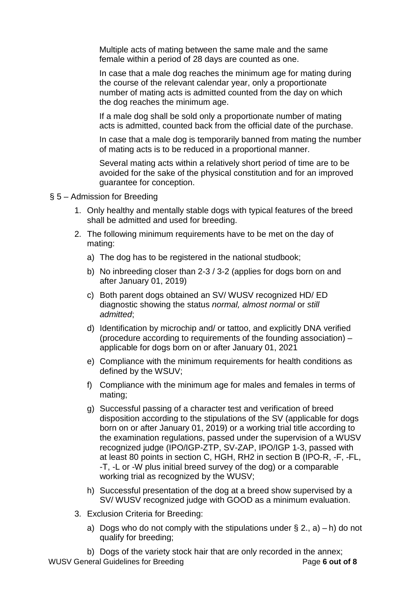Multiple acts of mating between the same male and the same female within a period of 28 days are counted as one.

In case that a male dog reaches the minimum age for mating during the course of the relevant calendar year, only a proportionate number of mating acts is admitted counted from the day on which the dog reaches the minimum age.

If a male dog shall be sold only a proportionate number of mating acts is admitted, counted back from the official date of the purchase.

In case that a male dog is temporarily banned from mating the number of mating acts is to be reduced in a proportional manner.

Several mating acts within a relatively short period of time are to be avoided for the sake of the physical constitution and for an improved guarantee for conception.

#### § 5 – Admission for Breeding

- 1. Only healthy and mentally stable dogs with typical features of the breed shall be admitted and used for breeding.
- 2. The following minimum requirements have to be met on the day of mating:
	- a) The dog has to be registered in the national studbook;
	- b) No inbreeding closer than 2-3 / 3-2 (applies for dogs born on and after January 01, 2019)
	- c) Both parent dogs obtained an SV/ WUSV recognized HD/ ED diagnostic showing the status *normal, almost normal* or *still admitted*;
	- d) Identification by microchip and/ or tattoo, and explicitly DNA verified (procedure according to requirements of the founding association) – applicable for dogs born on or after January 01, 2021
	- e) Compliance with the minimum requirements for health conditions as defined by the WSUV;
	- f) Compliance with the minimum age for males and females in terms of mating;
	- g) Successful passing of a character test and verification of breed disposition according to the stipulations of the SV (applicable for dogs born on or after January 01, 2019) or a working trial title according to the examination regulations, passed under the supervision of a WUSV recognized judge (IPO/IGP-ZTP, SV-ZAP, IPO/IGP 1-3, passed with at least 80 points in section C, HGH, RH2 in section B (IPO-R, -F, -FL, -T, -L or -W plus initial breed survey of the dog) or a comparable working trial as recognized by the WUSV;
	- h) Successful presentation of the dog at a breed show supervised by a SV/ WUSV recognized judge with GOOD as a minimum evaluation.
- 3. Exclusion Criteria for Breeding:
	- a) Dogs who do not comply with the stipulations under  $\S 2$ , a) h) do not qualify for breeding;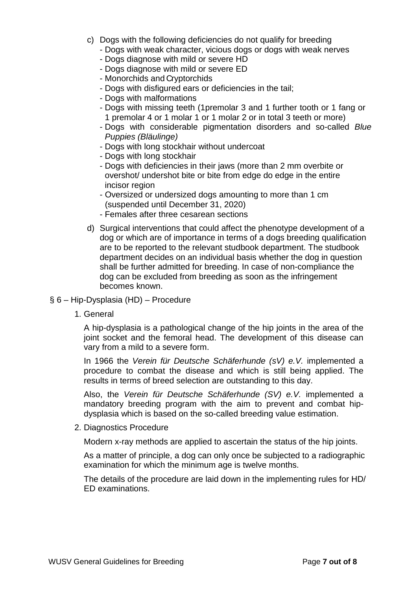- c) Dogs with the following deficiencies do not qualify for breeding
	- Dogs with weak character, vicious dogs or dogs with weak nerves
	- Dogs diagnose with mild or severe HD
	- Dogs diagnose with mild or severe ED
	- Monorchids and Cryptorchids
	- Dogs with disfigured ears or deficiencies in the tail;
	- Dogs with malformations
	- Dogs with missing teeth (1premolar 3 and 1 further tooth or 1 fang or 1 premolar 4 or 1 molar 1 or 1 molar 2 or in total 3 teeth or more)
	- Dogs with considerable pigmentation disorders and so-called *Blue Puppies (Bläulinge)*
	- Dogs with long stockhair without undercoat
	- Dogs with long stockhair
	- Dogs with deficiencies in their jaws (more than 2 mm overbite or overshot/ undershot bite or bite from edge do edge in the entire incisor region
	- Oversized or undersized dogs amounting to more than 1 cm (suspended until December 31, 2020)
	- Females after three cesarean sections
- d) Surgical interventions that could affect the phenotype development of a dog or which are of importance in terms of a dogs breeding qualification are to be reported to the relevant studbook department. The studbook department decides on an individual basis whether the dog in question shall be further admitted for breeding. In case of non-compliance the dog can be excluded from breeding as soon as the infringement becomes known.

#### § 6 – Hip-Dysplasia (HD) – Procedure

1. General

A hip-dysplasia is a pathological change of the hip joints in the area of the joint socket and the femoral head. The development of this disease can vary from a mild to a severe form.

In 1966 the *Verein für Deutsche Schäferhunde (sV) e.V.* implemented a procedure to combat the disease and which is still being applied. The results in terms of breed selection are outstanding to this day.

Also, the *Verein für Deutsche Schäferhunde (SV) e.V.* implemented a mandatory breeding program with the aim to prevent and combat hipdysplasia which is based on the so-called breeding value estimation.

2. Diagnostics Procedure

Modern x-ray methods are applied to ascertain the status of the hip joints.

As a matter of principle, a dog can only once be subjected to a radiographic examination for which the minimum age is twelve months.

The details of the procedure are laid down in the implementing rules for HD/ ED examinations.